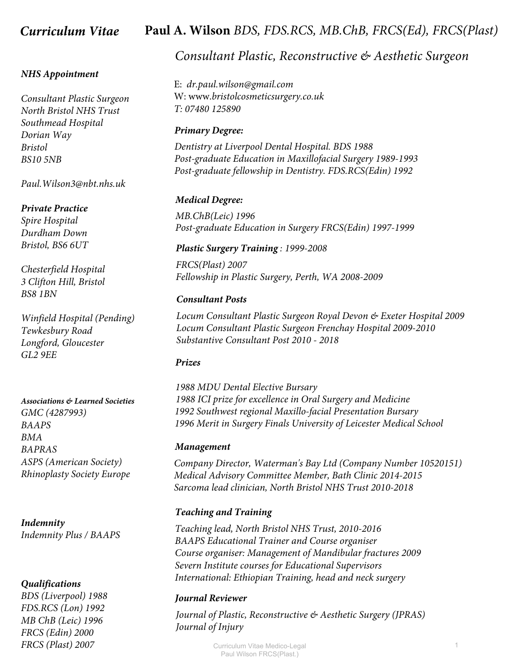#### *NHS Appointment*

*Consultant Plastic Surgeon North Bristol NHS Trust Southmead Hospital Dorian Way Bristol BS10 5NB*

*Paul.Wilson3@nbt.nhs.uk*

#### *Private Practice*

*Spire Hospital Durdham Down Bristol, BS6 6UT*

*Chesterfield Hospital 3 Clifton Hill, Bristol BS8 1BN*

*Winfield Hospital (Pending) Tewkesbury Road Longford, Gloucester GL2 9EE*

#### *Associations & Learned Societies*

*GMC (4287993) BAAPS BMA BAPRAS ASPS (American Society) Rhinoplasty Society Europe*

*Indemnity Indemnity Plus / BAAPS*

#### *Qualifications*

*BDS (Liverpool) 1988 FDS.RCS (Lon) 1992 MB ChB (Leic) 1996 FRCS (Edin) 2000 FRCS (Plast) 2007*

# *Curriculum Vitae* **Paul A. Wilson** *BDS, FDS.RCS, MB.ChB, FRCS(Ed), FRCS(Plast)*

# *Consultant Plastic, Reconstructive & Aesthetic Surgeon*

E: *dr.paul.wilson@gmail.com*  W: www.*bristolcosmeticsurgery.co.uk T: 07480 125890*

#### *Primary Degree:*

*Dentistry at Liverpool Dental Hospital. BDS 1988 Post-graduate Education in Maxillofacial Surgery 1989-1993 Post-graduate fellowship in Dentistry. FDS.RCS(Edin) 1992*

#### *Medical Degree:*

*MB.ChB(Leic) 1996 Post-graduate Education in Surgery FRCS(Edin) 1997-1999*

## *Plastic Surgery Training : 1999-2008*

*FRCS(Plast) 2007 Fellowship in Plastic Surgery, Perth, WA 2008-2009*

#### *Consultant Posts*

*Locum Consultant Plastic Surgeon Royal Devon & Exeter Hospital 2009 Locum Consultant Plastic Surgeon Frenchay Hospital 2009-2010 Substantive Consultant Post 2010 - 2018*

#### *Prizes*

*1988 MDU Dental Elective Bursary 1992 Southwest regional Maxillo-facial Presentation Bursary 1988 ICI prize for excellence in Oral Surgery and Medicine 1996 Merit in Surgery Finals University of Leicester Medical School*

#### *Management*

*Company Director, Waterman's Bay Ltd (Company Number 10520151) Medical Advisory Committee Member, Bath Clinic 2014-2015 Sarcoma lead clinician, North Bristol NHS Trust 2010-2018*

## *Teaching and Training*

*Teaching lead, North Bristol NHS Trust, 2010-2016 BAAPS Educational Trainer and Course organiser Course organiser: Management of Mandibular fractures 2009 Severn Institute courses for Educational Supervisors International: Ethiopian Training, head and neck surgery*

#### *Journal Reviewer*

*Journal of Plastic, Reconstructive & Aesthetic Surgery (JPRAS) Journal of Injury*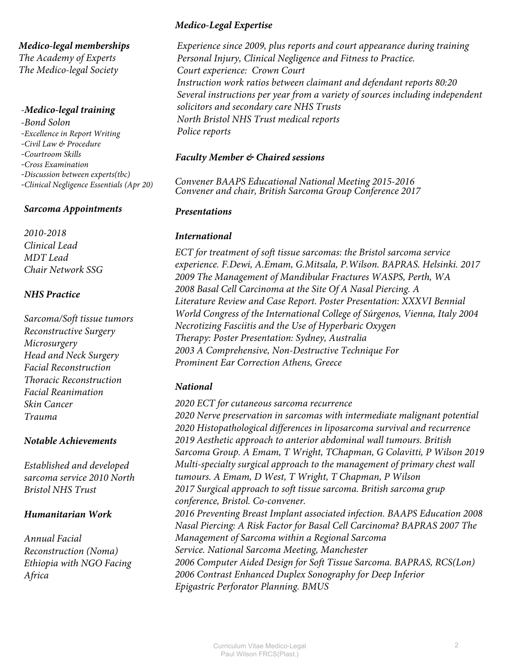*Medico-legal memberships The Academy of Experts The Medico-legal Society*

#### *-Medico-legal training*

*-Bond Solon -Excellence in Report Writing -Civil Law & Procedure -Courtroom Skills -Cross Examination -Discussion between experts(tbc) -Clinical Negligence Essentials (Apr 20)*

## *Sarcoma Appointments*

*2010-2018 Clinical Lead MDT Lead Chair Network SSG*

## *NHS Practice*

*Sarcoma/Soft tissue tumors Reconstructive Surgery Microsurgery Head and Neck Surgery Facial Reconstruction Thoracic Reconstruction Facial Reanimation Skin Cancer Trauma*

## *Notable Achievements*

*Established and developed sarcoma service 2010 North Bristol NHS Trust*

## *Humanitarian Work*

*Annual Facial Reconstruction (Noma) Ethiopia with NGO Facing Africa*

# *Medico-Legal Expertise*

*Experience since 2009, plus reports and court appearance during training Personal Injury, Clinical Negligence and Fitness to Practice. Court experience: Crown Court Instruction work ratios between claimant and defendant reports 80:20 Several instructions per year from a variety of sources including independent solicitors and secondary care NHS Trusts North Bristol NHS Trust medical reports Police reports*

# *Faculty Member & Chaired sessions*

*Convener BAAPS Educational National Meeting 2015-2016 Convener and chair, British Sarcoma Group Conference 2017*

# *Presentations*

# *International*

*ECT for treatment of soft tissue sarcomas: the Bristol sarcoma service experience. F.Dewi, A.Emam, G.Mitsala, P.Wilson. BAPRAS. Helsinki. 2017 2009 The Management of Mandibular Fractures WASPS, Perth, WA 2008 Basal Cell Carcinoma at the Site Of A Nasal Piercing. A Literature Review and Case Report. Poster Presentation: XXXVI Bennial World Congress of the International College of Súrgenos, Vienna, Italy 2004 Necrotizing Fasciitis and the Use of Hyperbaric Oxygen Therapy: Poster Presentation: Sydney, Australia 2003 A Comprehensive, Non-Destructive Technique For Prominent Ear Correction Athens, Greece*

# *National*

*2020 ECT for cutaneous sarcoma recurrence 2020 Nerve preservation in sarcomas with intermediate malignant potential 2020 Histopathological differences in liposarcoma survival and recurrence 2019 Aesthetic approach to anterior abdominal wall tumours. British Sarcoma Group. A Emam, T Wright, TChapman, G Colavitti, P Wilson 2019 Multi-specialty surgical approach to the management of primary chest wall tumours. A Emam, D West, T Wright, T Chapman, P Wilson 2017 Surgical approach to soft tissue sarcoma. British sarcoma grup conference, Bristol. Co-convener. 2016 Preventing Breast Implant associated infection. BAAPS Education 2008 Nasal Piercing: A Risk Factor for Basal Cell Carcinoma? BAPRAS 2007 The Management of Sarcoma within a Regional Sarcoma Service. National Sarcoma Meeting, Manchester 2006 Computer Aided Design for Soft Tissue Sarcoma. BAPRAS, RCS(Lon) 2006 Contrast Enhanced Duplex Sonography for Deep Inferior Epigastric Perforator Planning. BMUS*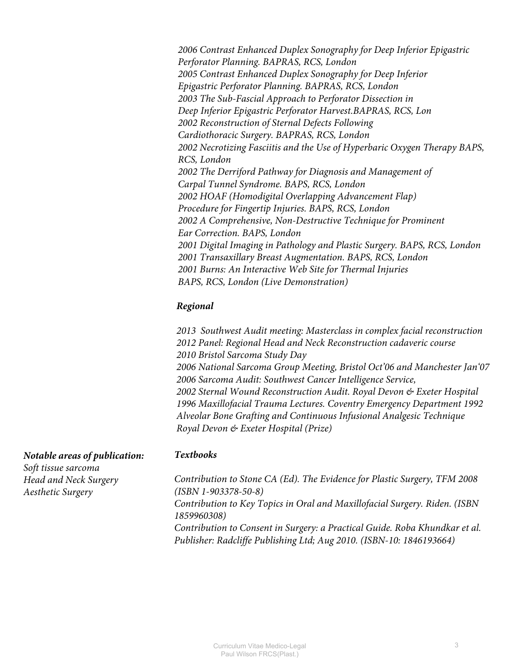*2006 Contrast Enhanced Duplex Sonography for Deep Inferior Epigastric Perforator Planning. BAPRAS, RCS, London 2005 Contrast Enhanced Duplex Sonography for Deep Inferior Epigastric Perforator Planning. BAPRAS, RCS, London 2003 The Sub-Fascial Approach to Perforator Dissection in Deep Inferior Epigastric Perforator Harvest.BAPRAS, RCS, Lon 2002 Reconstruction of Sternal Defects Following Cardiothoracic Surgery. BAPRAS, RCS, London 2002 Necrotizing Fasciitis and the Use of Hyperbaric Oxygen Therapy BAPS, RCS, London 2002 The Derriford Pathway for Diagnosis and Management of Carpal Tunnel Syndrome. BAPS, RCS, London 2002 HOAF (Homodigital Overlapping Advancement Flap) Procedure for Fingertip Injuries. BAPS, RCS, London 2002 A Comprehensive, Non-Destructive Technique for Prominent Ear Correction. BAPS, London 2001 Digital Imaging in Pathology and Plastic Surgery. BAPS, RCS, London 2001 Transaxillary Breast Augmentation. BAPS, RCS, London 2001 Burns: An Interactive Web Site for Thermal Injuries BAPS, RCS, London (Live Demonstration)*

# *Regional*

*2013 Southwest Audit meeting: Masterclass in complex facial reconstruction 2012 Panel: Regional Head and Neck Reconstruction cadaveric course 2010 Bristol Sarcoma Study Day 2006 National Sarcoma Group Meeting, Bristol Oct'06 and Manchester Jan'07 2006 Sarcoma Audit: Southwest Cancer Intelligence Service, 2002 Sternal Wound Reconstruction Audit. Royal Devon & Exeter Hospital 1996 Maxillofacial Trauma Lectures. Coventry Emergency Department 1992 Alveolar Bone Grafting and Continuous Infusional Analgesic Technique Royal Devon & Exeter Hospital (Prize)*

## *Textbooks*

*Contribution to Stone CA (Ed). The Evidence for Plastic Surgery, TFM 2008 (ISBN 1-903378-50-8) Contribution to Key Topics in Oral and Maxillofacial Surgery. Riden. (ISBN* 

*1859960308)*

*Contribution to Consent in Surgery: a Practical Guide. Roba Khundkar et al. Publisher: Radcliffe Publishing Ltd; Aug 2010. (ISBN-10: 1846193664)*

| <b>Notable areas of publication:</b> |  |
|--------------------------------------|--|
| Soft tissue sarcoma                  |  |
| Head and Neck Surgery                |  |

*Aesthetic Surgery*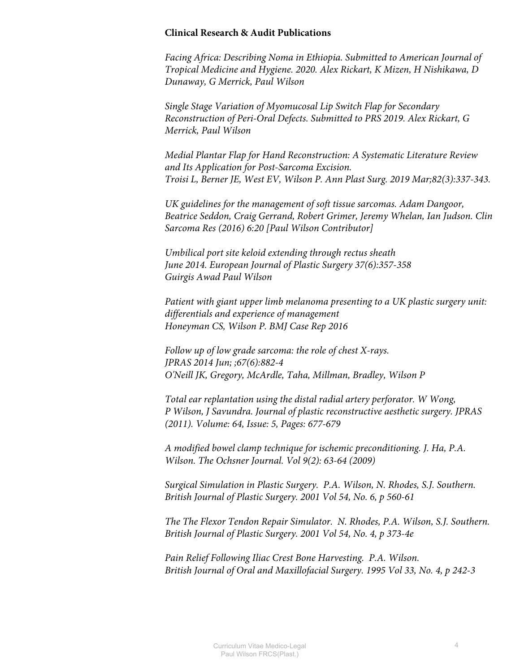#### **Clinical Research & Audit Publications**

*Facing Africa: Describing Noma in Ethiopia. Submitted to American Journal of Tropical Medicine and Hygiene. 2020. Alex Rickart, K Mizen, H Nishikawa, D Dunaway, G Merrick, Paul Wilson* 

*Single Stage Variation of Myomucosal Lip Switch Flap for Secondary Reconstruction of Peri-Oral Defects. Submitted to PRS 2019. Alex Rickart, G Merrick, Paul Wilson* 

*Medial Plantar Flap for Hand Reconstruction: A Systematic Literature Review and Its Application for Post-Sarcoma Excision. Troisi L, Berner JE, West EV, Wilson P. Ann Plast Surg. 2019 Mar;82(3):337-343.*

*UK guidelines for the management of soft tissue sarcomas. Adam Dangoor, Beatrice Seddon, Craig Gerrand, Robert Grimer, Jeremy Whelan, Ian Judson. Clin Sarcoma Res (2016) 6:20 [Paul Wilson Contributor]*

*Umbilical port site keloid extending through rectus sheath June 2014. European Journal of Plastic Surgery 37(6):357-358 Guirgis Awad Paul Wilson* 

*Patient with giant upper limb melanoma presenting to a UK plastic surgery unit: differentials and experience of management Honeyman CS, Wilson P. BMJ Case Rep 2016*

*Follow up of low grade sarcoma: the role of chest X-rays. JPRAS 2014 Jun; ;67(6):882-4 O'Neill JK, Gregory, McArdle, Taha, Millman, Bradley, Wilson P*

*Total ear replantation using the distal radial artery perforator. W Wong, P Wilson, J Savundra. Journal of plastic reconstructive aesthetic surgery. JPRAS (2011). Volume: 64, Issue: 5, Pages: 677-679*

*A modified bowel clamp technique for ischemic preconditioning. J. Ha, P.A. Wilson. The Ochsner Journal. Vol 9(2): 63-64 (2009)*

*Surgical Simulation in Plastic Surgery. P.A. Wilson, N. Rhodes, S.J. Southern. British Journal of Plastic Surgery. 2001 Vol 54, No. 6, p 560-61*

*The The Flexor Tendon Repair Simulator. N. Rhodes, P.A. Wilson, S.J. Southern. British Journal of Plastic Surgery. 2001 Vol 54, No. 4, p 373-4e*

*Pain Relief Following Iliac Crest Bone Harvesting. P.A. Wilson. British Journal of Oral and Maxillofacial Surgery. 1995 Vol 33, No. 4, p 242-3*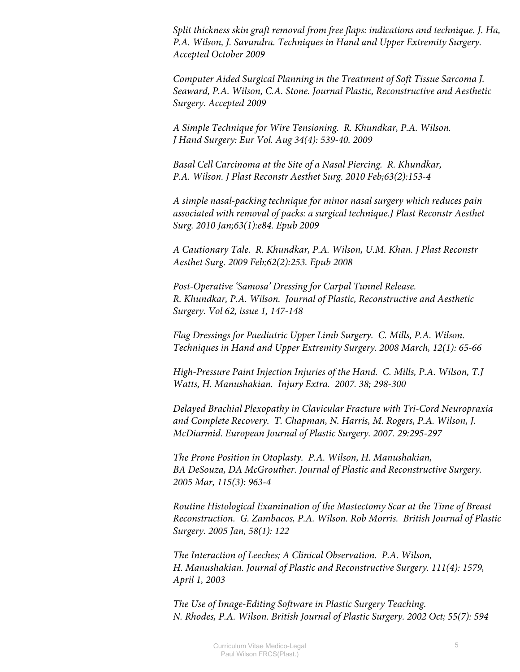*Split thickness skin graft removal from free flaps: indications and technique. J. Ha, P.A. Wilson, J. Savundra. Techniques in Hand and Upper Extremity Surgery. Accepted October 2009*

*Computer Aided Surgical Planning in the Treatment of Soft Tissue Sarcoma J. Seaward, P.A. Wilson, C.A. Stone. Journal Plastic, Reconstructive and Aesthetic Surgery. Accepted 2009*

*A Simple Technique for Wire Tensioning. R. Khundkar, P.A. Wilson. J Hand Surgery: Eur Vol. Aug 34(4): 539-40. 2009*

*Basal Cell Carcinoma at the Site of a Nasal Piercing. R. Khundkar, P.A. Wilson. J Plast Reconstr Aesthet Surg. 2010 Feb;63(2):153-4*

*A simple nasal-packing technique for minor nasal surgery which reduces pain associated with removal of packs: a surgical technique.J Plast Reconstr Aesthet Surg. 2010 Jan;63(1):e84. Epub 2009*

*A Cautionary Tale. R. Khundkar, P.A. Wilson, U.M. Khan. J Plast Reconstr Aesthet Surg. 2009 Feb;62(2):253. Epub 2008*

*Post-Operative 'Samosa' Dressing for Carpal Tunnel Release. R. Khundkar, P.A. Wilson. Journal of Plastic, Reconstructive and Aesthetic Surgery. Vol 62, issue 1, 147-148*

*Flag Dressings for Paediatric Upper Limb Surgery. C. Mills, P.A. Wilson. Techniques in Hand and Upper Extremity Surgery. 2008 March, 12(1): 65-66*

*High-Pressure Paint Injection Injuries of the Hand. C. Mills, P.A. Wilson, T.J Watts, H. Manushakian. Injury Extra. 2007. 38; 298-300*

*Delayed Brachial Plexopathy in Clavicular Fracture with Tri-Cord Neuropraxia and Complete Recovery. T. Chapman, N. Harris, M. Rogers, P.A. Wilson, J. McDiarmid. European Journal of Plastic Surgery. 2007. 29:295-297*

*The Prone Position in Otoplasty. P.A. Wilson, H. Manushakian, BA DeSouza, DA McGrouther. Journal of Plastic and Reconstructive Surgery. 2005 Mar, 115(3): 963-4*

*Routine Histological Examination of the Mastectomy Scar at the Time of Breast Reconstruction. G. Zambacos, P.A. Wilson. Rob Morris. British Journal of Plastic Surgery. 2005 Jan, 58(1): 122*

*The Interaction of Leeches; A Clinical Observation. P.A. Wilson, H. Manushakian. Journal of Plastic and Reconstructive Surgery. 111(4): 1579, April 1, 2003*

*The Use of Image-Editing Software in Plastic Surgery Teaching. N. Rhodes, P.A. Wilson. British Journal of Plastic Surgery. 2002 Oct; 55(7): 594*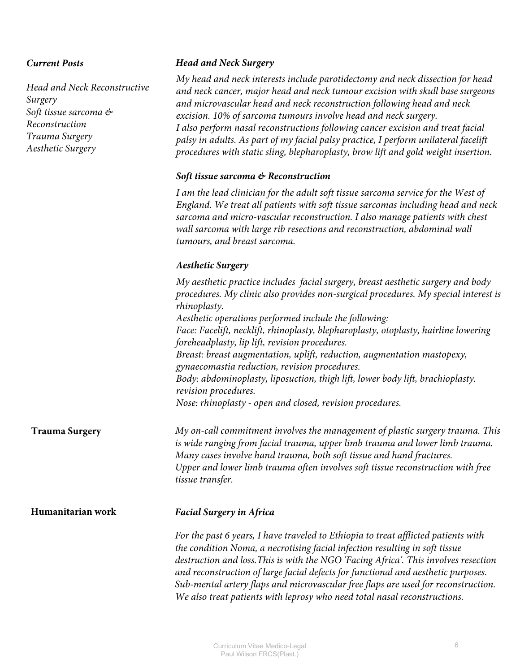#### *Current Posts*

*Head and Neck Reconstructive Surgery Soft tissue sarcoma & Reconstruction Trauma Surgery Aesthetic Surgery*

#### *Head and Neck Surgery*

*My head and neck interests include parotidectomy and neck dissection for head and neck cancer, major head and neck tumour excision with skull base surgeons and microvascular head and neck reconstruction following head and neck excision. 10% of sarcoma tumours involve head and neck surgery. I also perform nasal reconstructions following cancer excision and treat facial palsy in adults. As part of my facial palsy practice, I perform unilateral facelift procedures with static sling, blepharoplasty, brow lift and gold weight insertion.* 

#### *Soft tissue sarcoma & Reconstruction*

*I am the lead clinician for the adult soft tissue sarcoma service for the West of England. We treat all patients with soft tissue sarcomas including head and neck sarcoma and micro-vascular reconstruction. I also manage patients with chest wall sarcoma with large rib resections and reconstruction, abdominal wall tumours, and breast sarcoma.* 

## *Aesthetic Surgery*

*My aesthetic practice includes facial surgery, breast aesthetic surgery and body procedures. My clinic also provides non-surgical procedures. My special interest is rhinoplasty. Aesthetic operations performed include the following: Face: Facelift, necklift, rhinoplasty, blepharoplasty, otoplasty, hairline lowering foreheadplasty, lip lift, revision procedures. Breast: breast augmentation, uplift, reduction, augmentation mastopexy, gynaecomastia reduction, revision procedures. Body: abdominoplasty, liposuction, thigh lift, lower body lift, brachioplasty. revision procedures. Nose: rhinoplasty - open and closed, revision procedures.* 

**Trauma Surgery** *My on-call commitment involves the management of plastic surgery trauma. This*  is wide ranging from facial trauma, upper limb trauma and lower limb trauma. *Many cases involve hand trauma, both soft tissue and hand fractures. Upper and lower limb trauma often involves soft tissue reconstruction with free tissue transfer.*

#### **Humanitarian work**

#### *Facial Surgery in Africa*

*For the past 6 years, I have traveled to Ethiopia to treat afflicted patients with the condition Noma, a necrotising facial infection resulting in soft tissue destruction and loss.This is with the NGO 'Facing Africa'. This involves resection and reconstruction of large facial defects for functional and aesthetic purposes. Sub-mental artery flaps and microvascular free flaps are used for reconstruction. We also treat patients with leprosy who need total nasal reconstructions.*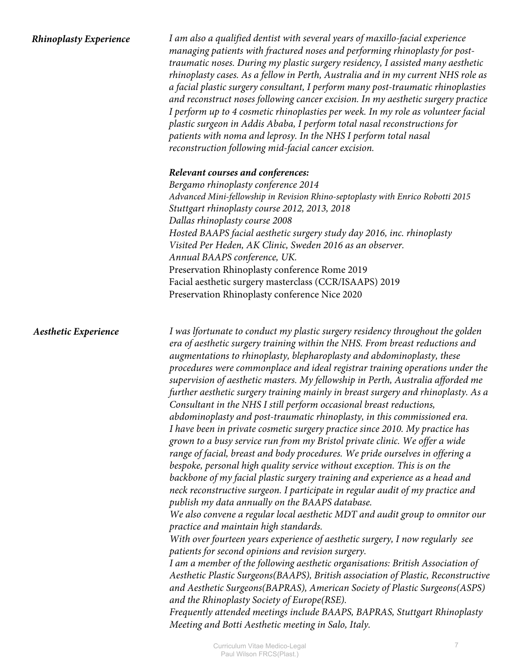| <b>Rhinoplasty Experience</b> | I am also a qualified dentist with several years of maxillo-facial experience<br>managing patients with fractured noses and performing rhinoplasty for post-<br>traumatic noses. During my plastic surgery residency, I assisted many aesthetic<br>rhinoplasty cases. As a fellow in Perth, Australia and in my current NHS role as<br>a facial plastic surgery consultant, I perform many post-traumatic rhinoplasties<br>and reconstruct noses following cancer excision. In my aesthetic surgery practice<br>I perform up to 4 cosmetic rhinoplasties per week. In my role as volunteer facial<br>plastic surgeon in Addis Ababa, I perform total nasal reconstructions for<br>patients with noma and leprosy. In the NHS I perform total nasal<br>reconstruction following mid-facial cancer excision.<br>Relevant courses and conferences:<br>Bergamo rhinoplasty conference 2014                                                                                                                                                                                                                                                                                                                                                                                                                                                                                                                                                                                                                                                                                                                                                                                                                                                                                                                                                                                                                       |
|-------------------------------|--------------------------------------------------------------------------------------------------------------------------------------------------------------------------------------------------------------------------------------------------------------------------------------------------------------------------------------------------------------------------------------------------------------------------------------------------------------------------------------------------------------------------------------------------------------------------------------------------------------------------------------------------------------------------------------------------------------------------------------------------------------------------------------------------------------------------------------------------------------------------------------------------------------------------------------------------------------------------------------------------------------------------------------------------------------------------------------------------------------------------------------------------------------------------------------------------------------------------------------------------------------------------------------------------------------------------------------------------------------------------------------------------------------------------------------------------------------------------------------------------------------------------------------------------------------------------------------------------------------------------------------------------------------------------------------------------------------------------------------------------------------------------------------------------------------------------------------------------------------------------------------------------------------|
|                               | Advanced Mini-fellowship in Revision Rhino-septoplasty with Enrico Robotti 2015<br>Stuttgart rhinoplasty course 2012, 2013, 2018<br>Dallas rhinoplasty course 2008<br>Hosted BAAPS facial aesthetic surgery study day 2016, inc. rhinoplasty<br>Visited Per Heden, AK Clinic, Sweden 2016 as an observer.<br>Annual BAAPS conference, UK.<br>Preservation Rhinoplasty conference Rome 2019<br>Facial aesthetic surgery masterclass (CCR/ISAAPS) 2019<br>Preservation Rhinoplasty conference Nice 2020                                                                                                                                                                                                                                                                                                                                                                                                                                                                                                                                                                                                                                                                                                                                                                                                                                                                                                                                                                                                                                                                                                                                                                                                                                                                                                                                                                                                        |
| <b>Aesthetic Experience</b>   | I was lfortunate to conduct my plastic surgery residency throughout the golden<br>era of aesthetic surgery training within the NHS. From breast reductions and<br>augmentations to rhinoplasty, blepharoplasty and abdominoplasty, these<br>procedures were commonplace and ideal registrar training operations under the<br>supervision of aesthetic masters. My fellowship in Perth, Australia afforded me<br>further aesthetic surgery training mainly in breast surgery and rhinoplasty. As a<br>Consultant in the NHS I still perform occasional breast reductions,<br>abdominoplasty and post-traumatic rhinoplasty, in this commissioned era.<br>I have been in private cosmetic surgery practice since 2010. My practice has<br>grown to a busy service run from my Bristol private clinic. We offer a wide<br>range of facial, breast and body procedures. We pride ourselves in offering a<br>bespoke, personal high quality service without exception. This is on the<br>backbone of my facial plastic surgery training and experience as a head and<br>neck reconstructive surgeon. I participate in regular audit of my practice and<br>publish my data annually on the BAAPS database.<br>We also convene a regular local aesthetic MDT and audit group to omnitor our<br>practice and maintain high standards.<br>With over fourteen years experience of aesthetic surgery, I now regularly see<br>patients for second opinions and revision surgery.<br>I am a member of the following aesthetic organisations: British Association of<br>Aesthetic Plastic Surgeons(BAAPS), British association of Plastic, Reconstructive<br>and Aesthetic Surgeons(BAPRAS), American Society of Plastic Surgeons(ASPS)<br>and the Rhinoplasty Society of Europe(RSE).<br>Frequently attended meetings include BAAPS, BAPRAS, Stuttgart Rhinoplasty<br>Meeting and Botti Aesthetic meeting in Salo, Italy. |